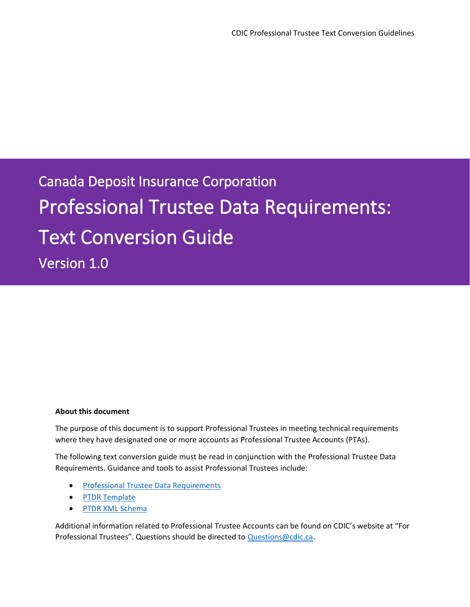Canada Deposit Insurance Corporation Professional Trustee Data Requirements: Text Conversion Guide

Version 1.0

#### **About this document**

The purpose of this document is to support Professional Trustees in meeting technical requirements where they have designated one or more accounts as Professional Trustee Accounts (PTAs).

The following text conversion guide must be read in conjunction with the Professional Trustee Data Requirements. Guidance and tools to assist Professional Trustees include:

- [Professional Trustee Data Requirements](https://www.cdic.ca/wp-content/uploads/ptdr-professional-trustee-data-requirements.pdf)
- [PTDR Template](https://www.cdic.ca/wp-content/uploads/PTDR-Template-File.xlsx)
- [PTDR XML Schema](https://www.cdic.ca/financial-community/for-trustees/for-professional-trustees/professional-trustee-data-requirements-ptdr/)

Additional information related to Professional Trustee Accounts can be found on CDIC's website at "For Professional Trustees". Questions should be directed to [Questions@cdic.ca.](mailto:Questions@cdic.ca)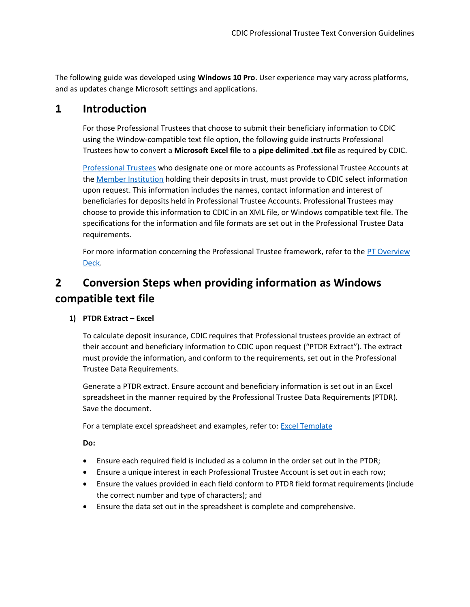The following guide was developed using **Windows 10 Pro**. User experience may vary across platforms, and as updates change Microsoft settings and applications.

## **1 Introduction**

For those Professional Trustees that choose to submit their beneficiary information to CDIC using the Window-compatible text file option, the following guide instructs Professional Trustees how to convert a **Microsoft Excel file** to a **pipe delimited .txt file** as required by CDIC.

[Professional Trustees](https://www.cdic.ca/financial-community/for-trustees/for-professional-trustees/) who designate one or more accounts as Professional Trustee Accounts at th[e Member Institution](https://www.cdic.ca/your-coverage/list-of-member-institutions/) holding their deposits in trust, must provide to CDIC select information upon request. This information includes the names, contact information and interest of beneficiaries for deposits held in Professional Trustee Accounts. Professional Trustees may choose to provide this information to CDIC in an XML file, or Windows compatible text file. The specifications for the information and file formats are set out in the Professional Trustee Data requirements.

For more information concerning the Professional Trustee framework, refer to the PT Overview [Deck.](https://www.cdic.ca/wp-content/uploads/PTDR-Overview-Deck.pdf)

# **2 Conversion Steps when providing information as Windows compatible text file**

## **1) PTDR Extract – Excel**

To calculate deposit insurance, CDIC requires that Professional trustees provide an extract of their account and beneficiary information to CDIC upon request ("PTDR Extract"). The extract must provide the information, and conform to the requirements, set out in the Professional Trustee Data Requirements.

Generate a PTDR extract. Ensure account and beneficiary information is set out in an Excel spreadsheet in the manner required by the Professional Trustee Data Requirements (PTDR). Save the document.

For a template excel spreadsheet and examples, refer to: **[Excel Template](https://www.cdic.ca/wp-content/uploads/PTDR-Template-File.xlsx)** 

**Do:**

- Ensure each required field is included as a column in the order set out in the PTDR;
- Ensure a unique interest in each Professional Trustee Account is set out in each row;
- Ensure the values provided in each field conform to PTDR field format requirements (include the correct number and type of characters); and
- Ensure the data set out in the spreadsheet is complete and comprehensive.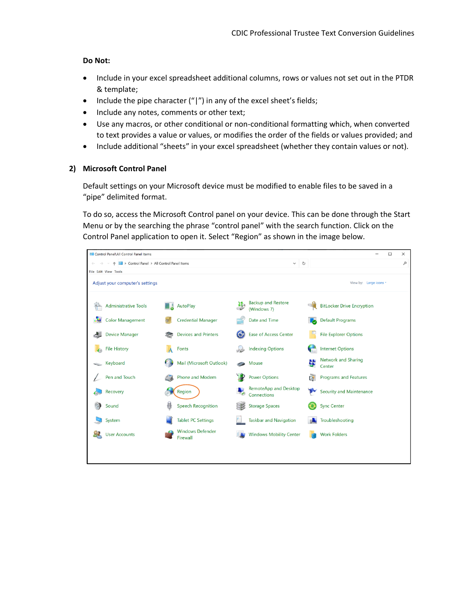### **Do Not:**

- Include in your excel spreadsheet additional columns, rows or values not set out in the PTDR & template;
- Include the pipe character  $('')'$  in any of the excel sheet's fields;
- Include any notes, comments or other text;
- Use any macros, or other conditional or non-conditional formatting which, when converted to text provides a value or values, or modifies the order of the fields or values provided; and
- Include additional "sheets" in your excel spreadsheet (whether they contain values or not).

## **2) Microsoft Control Panel**

Default settings on your Microsoft device must be modified to enable files to be saved in a "pipe" delimited format.

To do so, access the Microsoft Control panel on your device. This can be done through the Start Menu or by the searching the phrase "control panel" with the search function. Click on the Control Panel application to open it. Select "Region" as shown in the image below.

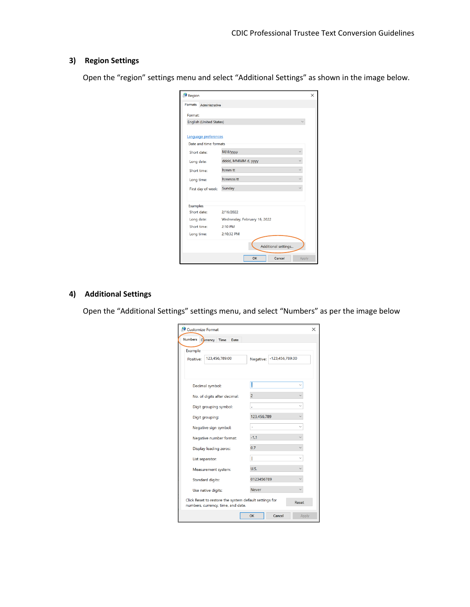## **3) Region Settings**

Open the "region" settings menu and select "Additional Settings" as shown in the image below.

| Region                           |                              | × |
|----------------------------------|------------------------------|---|
| <b>Formats</b><br>Administrative |                              |   |
| Format:                          |                              |   |
| <b>English (United States)</b>   |                              |   |
|                                  |                              |   |
| Language preferences             |                              |   |
| Date and time formats            |                              |   |
| Short date:                      | M/d/yyyy                     |   |
| Long date:                       | dddd, MMMM d, yyyy           |   |
| Short time:                      | h:mm tt                      |   |
| Long time:                       | h:mm:ss tt                   |   |
| First day of week:               | Sunday                       |   |
|                                  |                              |   |
| <b>Examples</b>                  |                              |   |
| Short date:                      | 2/16/2022                    |   |
| Long date:                       | Wednesday, February 16, 2022 |   |
| Short time:                      | 2:10 PM                      |   |
| Long time:                       | 2:10:32 PM                   |   |
|                                  | Additional settings          |   |
|                                  | OK<br>Cancel<br>Apply        |   |

## **4) Additional Settings**

Open the "Additional Settings" settings menu, and select "Numbers" as per the image below

| Customize Format<br>×                                                                                 |                       |                              |       |  |
|-------------------------------------------------------------------------------------------------------|-----------------------|------------------------------|-------|--|
| <b>Numbers</b>                                                                                        | Currency Time<br>Date |                              |       |  |
| Example<br>Positive:                                                                                  | 123,456,789.00        | -123,456,789.00<br>Negative: |       |  |
| Decimal symbol:                                                                                       |                       |                              |       |  |
| No. of digits after decimal:                                                                          |                       | $\overline{2}$               |       |  |
| Digit grouping symbol:                                                                                |                       | ¥                            |       |  |
| Digit grouping:                                                                                       |                       | 123,456,789                  |       |  |
| Negative sign symbol:                                                                                 |                       |                              |       |  |
| Negative number format:                                                                               |                       | $-1.1$                       |       |  |
| Display leading zeros:                                                                                |                       | 0.7                          |       |  |
| List separator:                                                                                       |                       |                              |       |  |
| Measurement system:                                                                                   |                       | U.S.                         |       |  |
| <b>Standard digits:</b>                                                                               |                       | 0123456789                   |       |  |
| Use native digits:                                                                                    |                       | <b>Never</b>                 |       |  |
| Click Reset to restore the system default settings for<br>Reset<br>numbers, currency, time, and date. |                       |                              |       |  |
|                                                                                                       |                       | OK<br>Cancel                 | Apply |  |